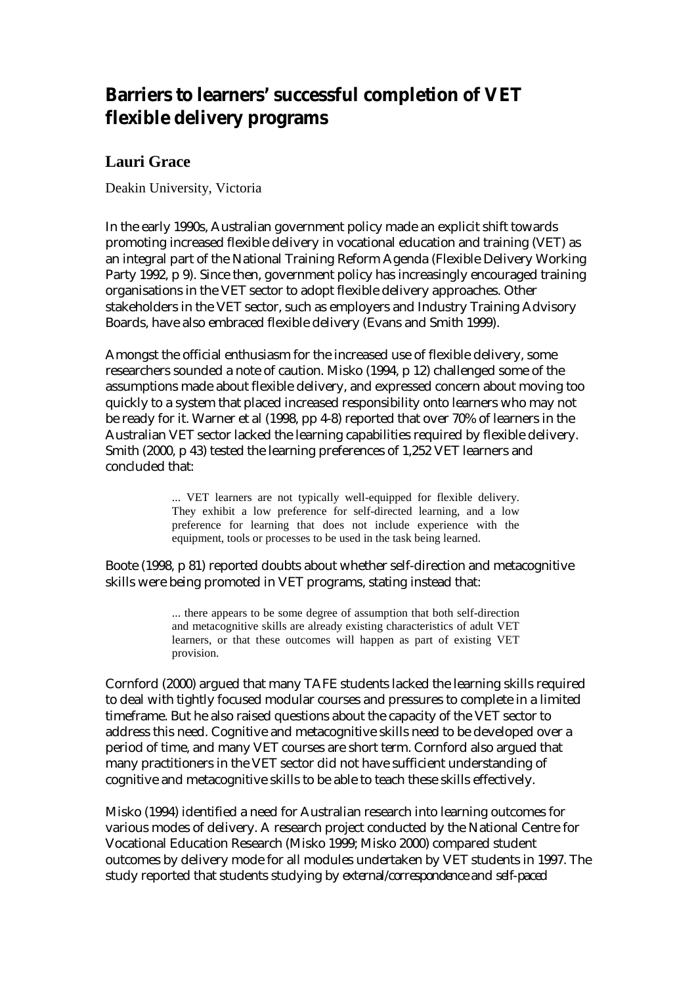# **Barriers to learners' successful completion of VET flexible delivery programs**

# **Lauri Grace**

Deakin University, Victoria

In the early 1990s, Australian government policy made an explicit shift towards promoting increased flexible delivery in vocational education and training (VET) as an integral part of the National Training Reform Agenda (Flexible Delivery Working Party 1992, p 9). Since then, government policy has increasingly encouraged training organisations in the VET sector to adopt flexible delivery approaches. Other stakeholders in the VET sector, such as employers and Industry Training Advisory Boards, have also embraced flexible delivery (Evans and Smith 1999).

Amongst the official enthusiasm for the increased use of flexible delivery, some researchers sounded a note of caution. Misko (1994, p 12) challenged some of the assumptions made about flexible delivery, and expressed concern about moving too quickly to a system that placed increased responsibility onto learners who may not be ready for it. Warner et al (1998, pp 4-8) reported that over 70% of learners in the Australian VET sector lacked the learning capabilities required by flexible delivery. Smith (2000, p 43) tested the learning preferences of 1,252 VET learners and concluded that:

> ... VET learners are not typically well-equipped for flexible delivery. They exhibit a low preference for self-directed learning, and a low preference for learning that does not include experience with the equipment, tools or processes to be used in the task being learned.

Boote (1998, p 81) reported doubts about whether self-direction and metacognitive skills were being promoted in VET programs, stating instead that:

> ... there appears to be some degree of assumption that both self-direction and metacognitive skills are already existing characteristics of adult VET learners, or that these outcomes will happen as part of existing VET provision.

Cornford (2000) argued that many TAFE students lacked the learning skills required to deal with tightly focused modular courses and pressures to complete in a limited timeframe. But he also raised questions about the capacity of the VET sector to address this need. Cognitive and metacognitive skills need to be developed over a period of time, and many VET courses are short term. Cornford also argued that many practitioners in the VET sector did not have sufficient understanding of cognitive and metacognitive skills to be able to teach these skills effectively.

Misko (1994) identified a need for Australian research into learning outcomes for various modes of delivery. A research project conducted by the National Centre for Vocational Education Research (Misko 1999; Misko 2000) compared student outcomes by delivery mode for all modules undertaken by VET students in 1997. The study reported that students studying by *external/correspondence* and *self-paced*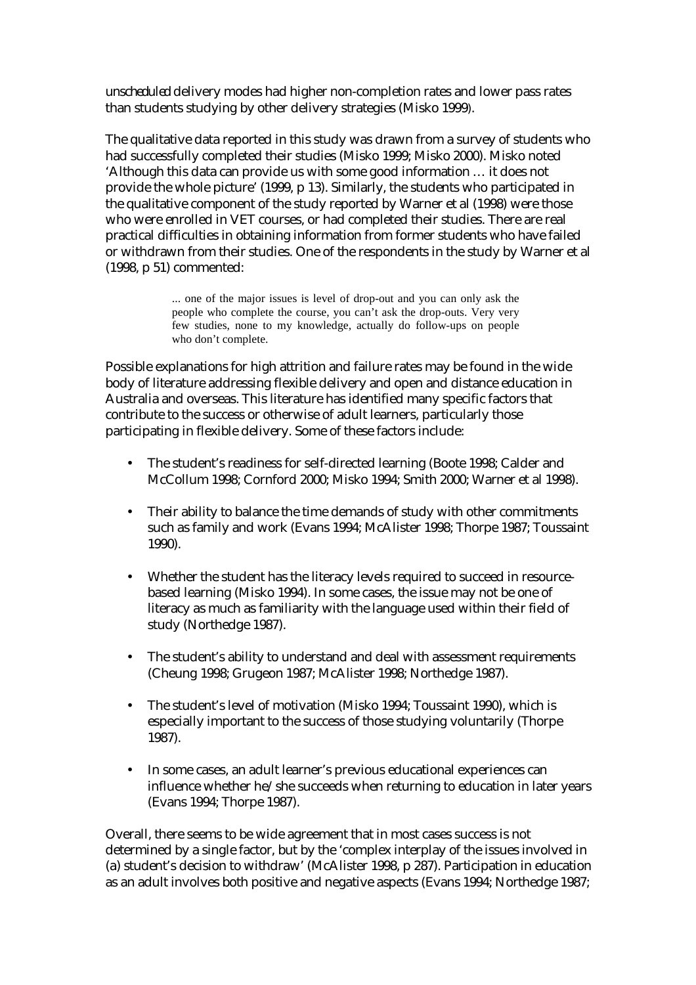*unscheduled* delivery modes had higher non-completion rates and lower pass rates than students studying by other delivery strategies (Misko 1999).

The qualitative data reported in this study was drawn from a survey of students who had successfully completed their studies (Misko 1999; Misko 2000). Misko noted 'Although this data can provide us with some good information … it does not provide the whole picture' (1999, p 13). Similarly, the students who participated in the qualitative component of the study reported by Warner et al (1998) were those who were enrolled in VET courses, or had completed their studies. There are real practical difficulties in obtaining information from former students who have failed or withdrawn from their studies. One of the respondents in the study by Warner et al (1998, p 51) commented:

> ... one of the major issues is level of drop-out and you can only ask the people who complete the course, you can't ask the drop-outs. Very very few studies, none to my knowledge, actually do follow-ups on people who don't complete.

Possible explanations for high attrition and failure rates may be found in the wide body of literature addressing flexible delivery and open and distance education in Australia and overseas. This literature has identified many specific factors that contribute to the success or otherwise of adult learners, particularly those participating in flexible delivery. Some of these factors include:

- The student's readiness for self-directed learning (Boote 1998; Calder and McCollum 1998; Cornford 2000; Misko 1994; Smith 2000; Warner et al 1998).
- Their ability to balance the time demands of study with other commitments such as family and work (Evans 1994; McAlister 1998; Thorpe 1987; Toussaint 1990).
- Whether the student has the literacy levels required to succeed in resourcebased learning (Misko 1994). In some cases, the issue may not be one of literacy as much as familiarity with the language used within their field of study (Northedge 1987).
- The student's ability to understand and deal with assessment requirements (Cheung 1998; Grugeon 1987; McAlister 1998; Northedge 1987).
- The student's level of motivation (Misko 1994; Toussaint 1990), which is especially important to the success of those studying voluntarily (Thorpe 1987).
- In some cases, an adult learner's previous educational experiences can influence whether he/she succeeds when returning to education in later years (Evans 1994; Thorpe 1987).

Overall, there seems to be wide agreement that in most cases success is not determined by a single factor, but by the 'complex interplay of the issues involved in (a) student's decision to withdraw' (McAlister 1998, p 287). Participation in education as an adult involves both positive and negative aspects (Evans 1994; Northedge 1987;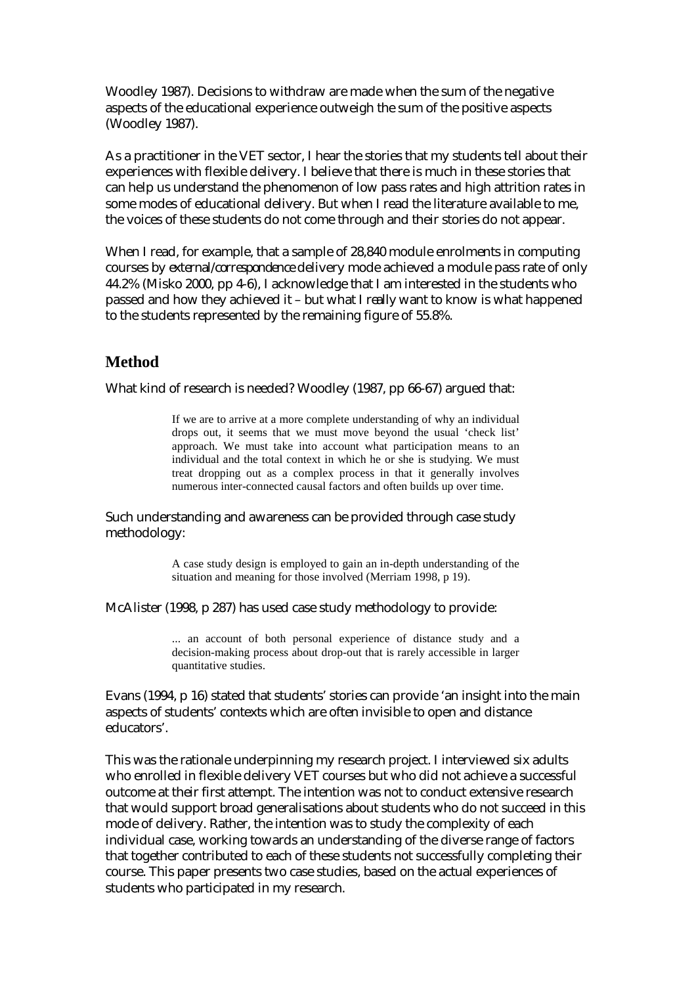Woodley 1987). Decisions to withdraw are made when the sum of the negative aspects of the educational experience outweigh the sum of the positive aspects (Woodley 1987).

As a practitioner in the VET sector, I hear the stories that my students tell about their experiences with flexible delivery. I believe that there is much in these stories that can help us understand the phenomenon of low pass rates and high attrition rates in some modes of educational delivery. But when I read the literature available to me, the voices of these students do not come through and their stories do not appear.

When I read, for example, that a sample of 28,840 module enrolments in computing courses by *external/correspondence* delivery mode achieved a module pass rate of only 44.2% (Misko 2000, pp 4-6), I acknowledge that I am interested in the students who passed and how they achieved it – but what I *really* want to know is what happened to the students represented by the remaining figure of 55.8%.

### **Method**

What kind of research is needed? Woodley (1987, pp 66-67) argued that:

If we are to arrive at a more complete understanding of why an individual drops out, it seems that we must move beyond the usual 'check list' approach. We must take into account what participation means to an individual and the total context in which he or she is studying. We must treat dropping out as a complex process in that it generally involves numerous inter-connected causal factors and often builds up over time.

Such understanding and awareness can be provided through case study methodology:

> A case study design is employed to gain an in-depth understanding of the situation and meaning for those involved (Merriam 1998, p 19).

McAlister (1998, p 287) has used case study methodology to provide:

... an account of both personal experience of distance study and a decision-making process about drop-out that is rarely accessible in larger quantitative studies.

Evans (1994, p 16) stated that students' stories can provide 'an insight into the main aspects of students' contexts which are often invisible to open and distance educators'.

This was the rationale underpinning my research project. I interviewed six adults who enrolled in flexible delivery VET courses but who did not achieve a successful outcome at their first attempt. The intention was not to conduct extensive research that would support broad generalisations about students who do not succeed in this mode of delivery. Rather, the intention was to study the complexity of each individual case, working towards an understanding of the diverse range of factors that together contributed to each of these students not successfully completing their course. This paper presents two case studies, based on the actual experiences of students who participated in my research.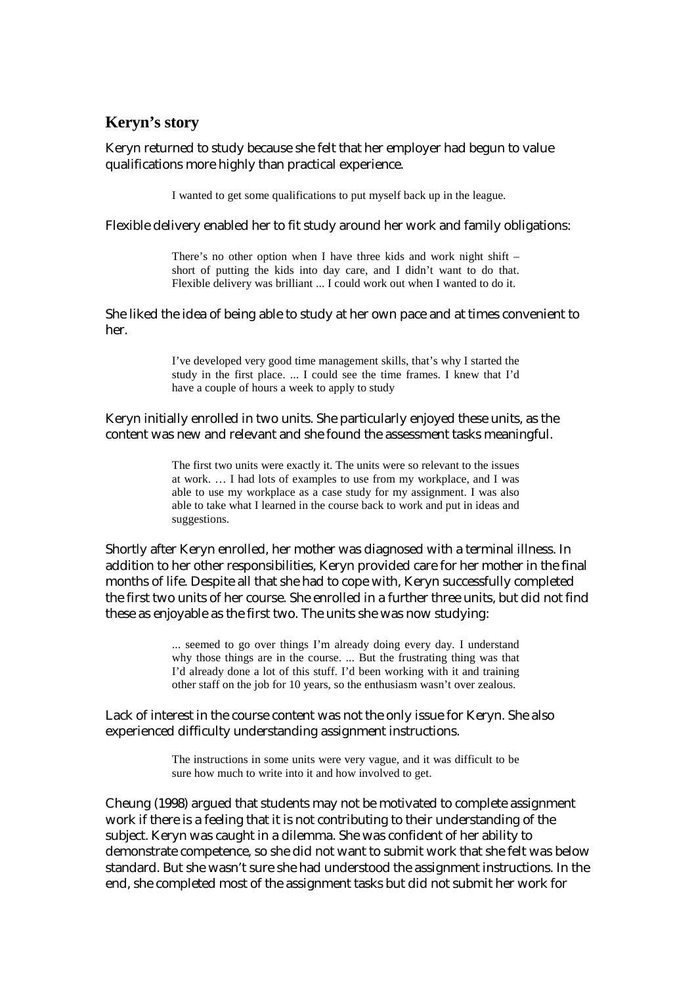### **Keryn's story**

Keryn returned to study because she felt that her employer had begun to value qualifications more highly than practical experience.

I wanted to get some qualifications to put myself back up in the league.

Flexible delivery enabled her to fit study around her work and family obligations:

There's no other option when I have three kids and work night shift – short of putting the kids into day care, and I didn't want to do that. Flexible delivery was brilliant ... I could work out when I wanted to do it.

She liked the idea of being able to study at her own pace and at times convenient to her.

> I've developed very good time management skills, that's why I started the study in the first place. ... I could see the time frames. I knew that I'd have a couple of hours a week to apply to study

Keryn initially enrolled in two units. She particularly enjoyed these units, as the content was new and relevant and she found the assessment tasks meaningful.

> The first two units were exactly it. The units were so relevant to the issues at work. … I had lots of examples to use from my workplace, and I was able to use my workplace as a case study for my assignment. I was also able to take what I learned in the course back to work and put in ideas and suggestions.

Shortly after Keryn enrolled, her mother was diagnosed with a terminal illness. In addition to her other responsibilities, Keryn provided care for her mother in the final months of life. Despite all that she had to cope with, Keryn successfully completed the first two units of her course. She enrolled in a further three units, but did not find these as enjoyable as the first two. The units she was now studying:

> ... seemed to go over things I'm already doing every day. I understand why those things are in the course. ... But the frustrating thing was that I'd already done a lot of this stuff. I'd been working with it and training other staff on the job for 10 years, so the enthusiasm wasn't over zealous.

Lack of interest in the course content was not the only issue for Keryn. She also experienced difficulty understanding assignment instructions.

> The instructions in some units were very vague, and it was difficult to be sure how much to write into it and how involved to get.

Cheung (1998) argued that students may not be motivated to complete assignment work if there is a feeling that it is not contributing to their understanding of the subject. Keryn was caught in a dilemma. She was confident of her ability to demonstrate competence, so she did not want to submit work that she felt was below standard. But she wasn't sure she had understood the assignment instructions. In the end, she completed most of the assignment tasks but did not submit her work for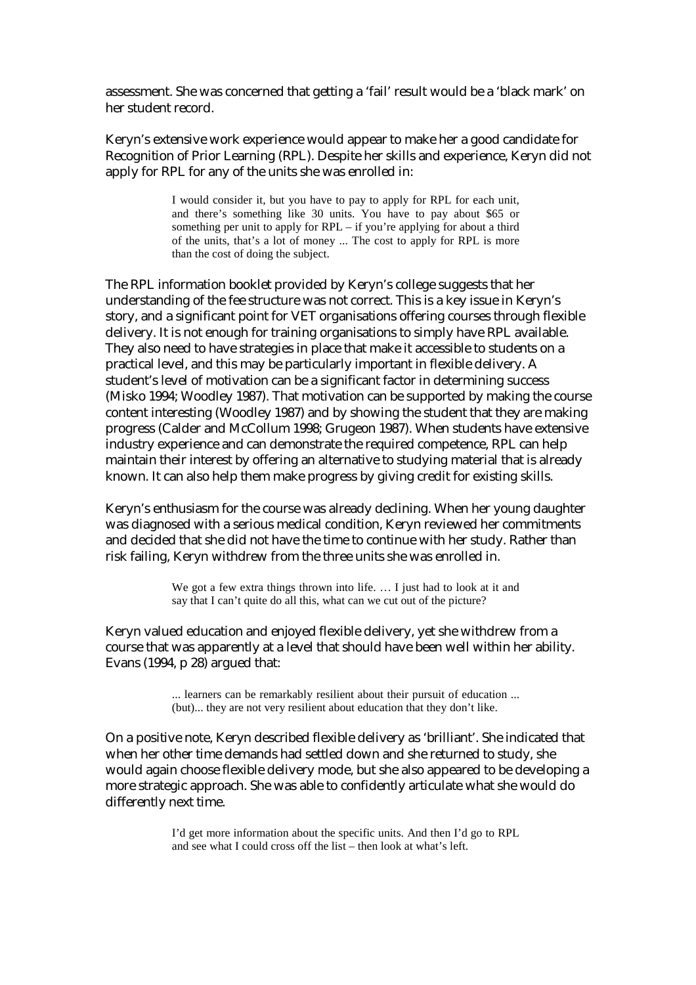assessment. She was concerned that getting a 'fail' result would be a 'black mark' on her student record.

Keryn's extensive work experience would appear to make her a good candidate for Recognition of Prior Learning (RPL). Despite her skills and experience, Keryn did not apply for RPL for any of the units she was enrolled in:

> I would consider it, but you have to pay to apply for RPL for each unit, and there's something like 30 units. You have to pay about \$65 or something per unit to apply for RPL – if you're applying for about a third of the units, that's a lot of money ... The cost to apply for RPL is more than the cost of doing the subject.

The RPL information booklet provided by Keryn's college suggests that her understanding of the fee structure was not correct. This is a key issue in Keryn's story, and a significant point for VET organisations offering courses through flexible delivery. It is not enough for training organisations to simply have RPL available. They also need to have strategies in place that make it accessible to students on a practical level, and this may be particularly important in flexible delivery. A student's level of motivation can be a significant factor in determining success (Misko 1994; Woodley 1987). That motivation can be supported by making the course content interesting (Woodley 1987) and by showing the student that they are making progress (Calder and McCollum 1998; Grugeon 1987). When students have extensive industry experience and can demonstrate the required competence, RPL can help maintain their interest by offering an alternative to studying material that is already known. It can also help them make progress by giving credit for existing skills.

Keryn's enthusiasm for the course was already declining. When her young daughter was diagnosed with a serious medical condition, Keryn reviewed her commitments and decided that she did not have the time to continue with her study. Rather than risk failing, Keryn withdrew from the three units she was enrolled in.

> We got a few extra things thrown into life. ... I just had to look at it and say that I can't quite do all this, what can we cut out of the picture?

Keryn valued education and enjoyed flexible delivery, yet she withdrew from a course that was apparently at a level that should have been well within her ability. Evans (1994, p 28) argued that:

> ... learners can be remarkably resilient about their pursuit of education ... (but)... they are not very resilient about education that they don't like.

On a positive note, Keryn described flexible delivery as 'brilliant'. She indicated that when her other time demands had settled down and she returned to study, she would again choose flexible delivery mode, but she also appeared to be developing a more strategic approach. She was able to confidently articulate what she would do differently next time.

> I'd get more information about the specific units. And then I'd go to RPL and see what I could cross off the list – then look at what's left.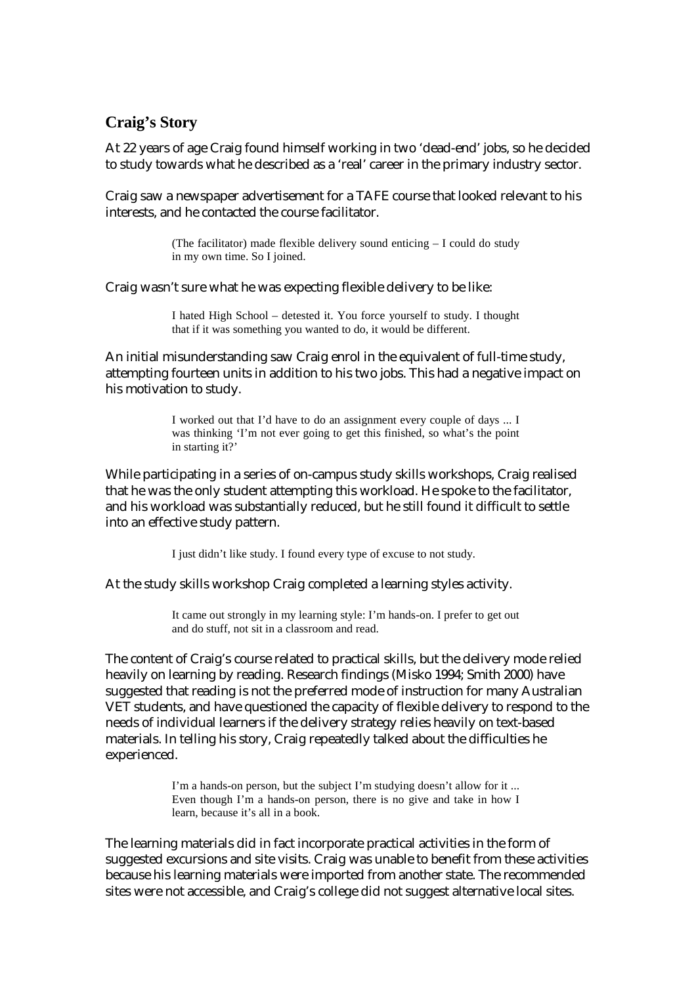## **Craig's Story**

At 22 years of age Craig found himself working in two 'dead-end' jobs, so he decided to study towards what he described as a 'real' career in the primary industry sector.

Craig saw a newspaper advertisement for a TAFE course that looked relevant to his interests, and he contacted the course facilitator.

> (The facilitator) made flexible delivery sound enticing – I could do study in my own time. So I joined.

Craig wasn't sure what he was expecting flexible delivery to be like:

I hated High School – detested it. You force yourself to study. I thought that if it was something you wanted to do, it would be different.

An initial misunderstanding saw Craig enrol in the equivalent of full-time study, attempting fourteen units in addition to his two jobs. This had a negative impact on his motivation to study.

> I worked out that I'd have to do an assignment every couple of days ... I was thinking 'I'm not ever going to get this finished, so what's the point in starting it?'

While participating in a series of on-campus study skills workshops, Craig realised that he was the only student attempting this workload. He spoke to the facilitator, and his workload was substantially reduced, but he still found it difficult to settle into an effective study pattern.

I just didn't like study. I found every type of excuse to not study.

At the study skills workshop Craig completed a learning styles activity.

It came out strongly in my learning style: I'm hands-on. I prefer to get out and do stuff, not sit in a classroom and read.

The content of Craig's course related to practical skills, but the delivery mode relied heavily on learning by reading. Research findings (Misko 1994; Smith 2000) have suggested that reading is not the preferred mode of instruction for many Australian VET students, and have questioned the capacity of flexible delivery to respond to the needs of individual learners if the delivery strategy relies heavily on text-based materials. In telling his story, Craig repeatedly talked about the difficulties he experienced.

> I'm a hands-on person, but the subject I'm studying doesn't allow for it ... Even though I'm a hands-on person, there is no give and take in how I learn, because it's all in a book.

The learning materials did in fact incorporate practical activities in the form of suggested excursions and site visits. Craig was unable to benefit from these activities because his learning materials were imported from another state. The recommended sites were not accessible, and Craig's college did not suggest alternative local sites.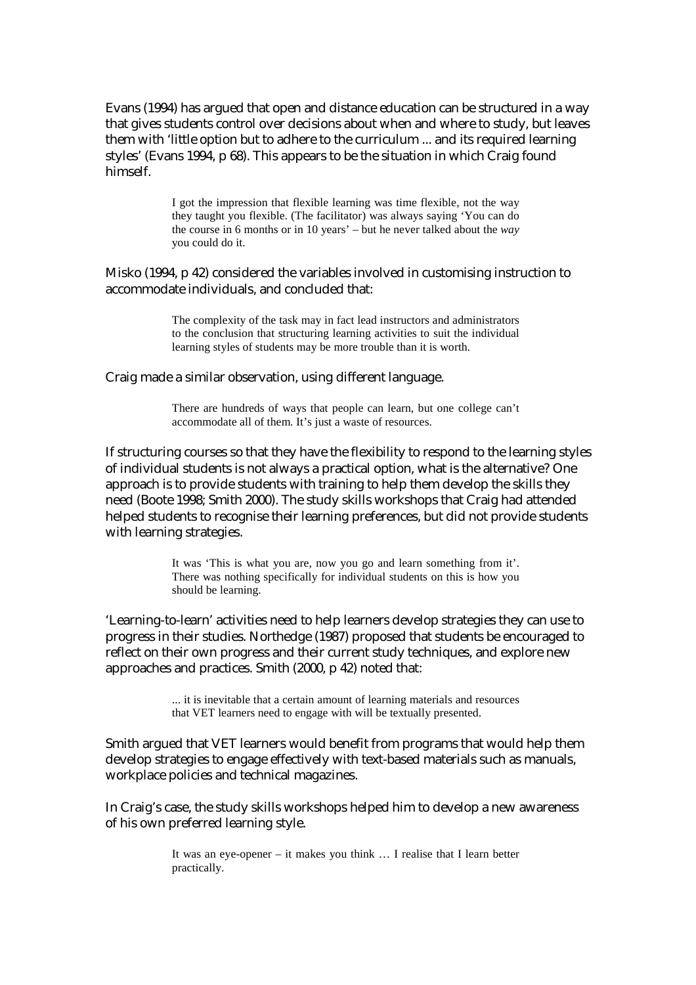Evans (1994) has argued that open and distance education can be structured in a way that gives students control over decisions about when and where to study, but leaves them with 'little option but to adhere to the curriculum ... and its required learning styles' (Evans 1994, p 68). This appears to be the situation in which Craig found himself.

> I got the impression that flexible learning was time flexible, not the way they taught you flexible. (The facilitator) was always saying 'You can do the course in 6 months or in 10 years' – but he never talked about the *way* you could do it.

Misko (1994, p 42) considered the variables involved in customising instruction to accommodate individuals, and concluded that:

> The complexity of the task may in fact lead instructors and administrators to the conclusion that structuring learning activities to suit the individual learning styles of students may be more trouble than it is worth.

Craig made a similar observation, using different language.

There are hundreds of ways that people can learn, but one college can't accommodate all of them. It's just a waste of resources.

If structuring courses so that they have the flexibility to respond to the learning styles of individual students is not always a practical option, what is the alternative? One approach is to provide students with training to help them develop the skills they need (Boote 1998; Smith 2000). The study skills workshops that Craig had attended helped students to recognise their learning preferences, but did not provide students with learning strategies.

> It was 'This is what you are, now you go and learn something from it'. There was nothing specifically for individual students on this is how you should be learning.

'Learning-to-learn' activities need to help learners develop strategies they can use to progress in their studies. Northedge (1987) proposed that students be encouraged to reflect on their own progress and their current study techniques, and explore new approaches and practices. Smith (2000, p 42) noted that:

> ... it is inevitable that a certain amount of learning materials and resources that VET learners need to engage with will be textually presented.

Smith argued that VET learners would benefit from programs that would help them develop strategies to engage effectively with text-based materials such as manuals, workplace policies and technical magazines.

In Craig's case, the study skills workshops helped him to develop a new awareness of his own preferred learning style.

> It was an eye-opener – it makes you think … I realise that I learn better practically.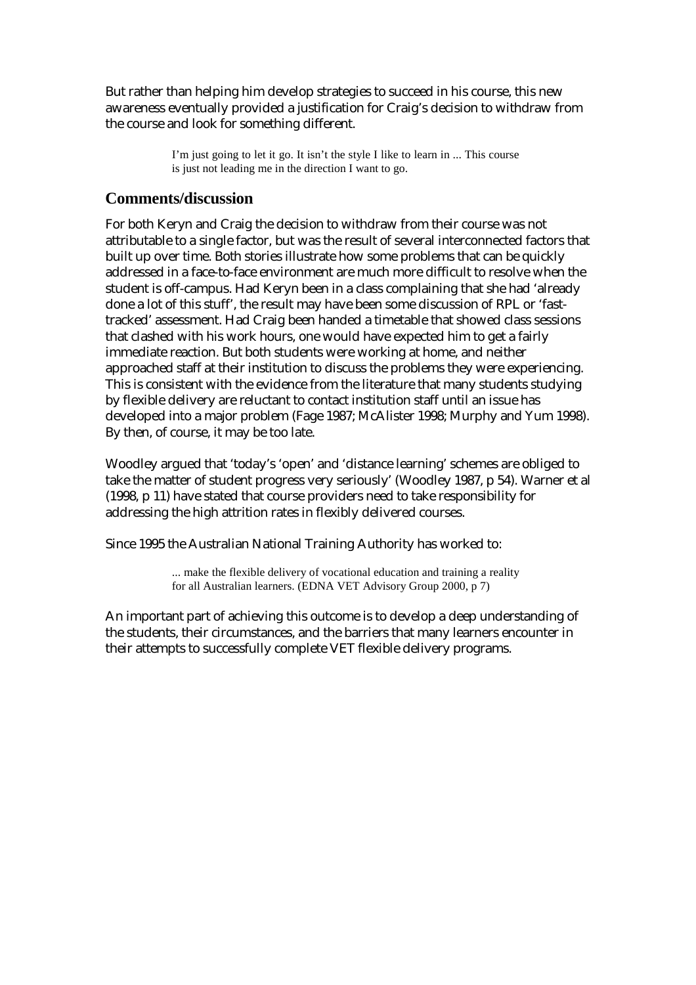But rather than helping him develop strategies to succeed in his course, this new awareness eventually provided a justification for Craig's decision to withdraw from the course and look for something different.

> I'm just going to let it go. It isn't the style I like to learn in ... This course is just not leading me in the direction I want to go.

### **Comments/discussion**

For both Keryn and Craig the decision to withdraw from their course was not attributable to a single factor, but was the result of several interconnected factors that built up over time. Both stories illustrate how some problems that can be quickly addressed in a face-to-face environment are much more difficult to resolve when the student is off-campus. Had Keryn been in a class complaining that she had 'already done a lot of this stuff', the result may have been some discussion of RPL or 'fasttracked' assessment. Had Craig been handed a timetable that showed class sessions that clashed with his work hours, one would have expected him to get a fairly immediate reaction. But both students were working at home, and neither approached staff at their institution to discuss the problems they were experiencing. This is consistent with the evidence from the literature that many students studying by flexible delivery are reluctant to contact institution staff until an issue has developed into a major problem (Fage 1987; McAlister 1998; Murphy and Yum 1998). By then, of course, it may be too late.

Woodley argued that 'today's 'open' and 'distance learning' schemes are obliged to take the matter of student progress very seriously' (Woodley 1987, p 54). Warner et al (1998, p 11) have stated that course providers need to take responsibility for addressing the high attrition rates in flexibly delivered courses.

Since 1995 the Australian National Training Authority has worked to:

... make the flexible delivery of vocational education and training a reality for all Australian learners. (EDNA VET Advisory Group 2000, p 7)

An important part of achieving this outcome is to develop a deep understanding of the students, their circumstances, and the barriers that many learners encounter in their attempts to successfully complete VET flexible delivery programs.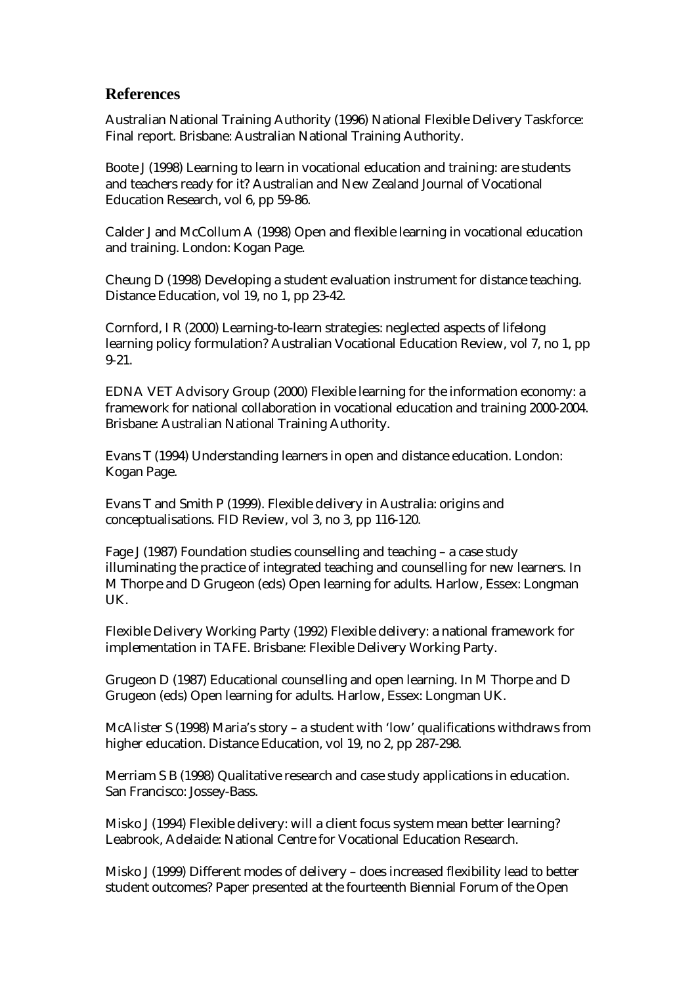#### **References**

Australian National Training Authority (1996) National Flexible Delivery Taskforce: Final report. Brisbane: Australian National Training Authority.

Boote J (1998) Learning to learn in vocational education and training: are students and teachers ready for it? Australian and New Zealand Journal of Vocational Education Research, vol 6, pp 59-86.

Calder J and McCollum A (1998) Open and flexible learning in vocational education and training. London: Kogan Page.

Cheung D (1998) Developing a student evaluation instrument for distance teaching. Distance Education, vol 19, no 1, pp 23-42.

Cornford, I R (2000) Learning-to-learn strategies: neglected aspects of lifelong learning policy formulation? Australian Vocational Education Review, vol 7, no 1, pp 9-21.

EDNA VET Advisory Group (2000) Flexible learning for the information economy: a framework for national collaboration in vocational education and training 2000-2004. Brisbane: Australian National Training Authority.

Evans T (1994) Understanding learners in open and distance education. London: Kogan Page.

Evans T and Smith P (1999). Flexible delivery in Australia: origins and conceptualisations. FID Review, vol 3, no 3, pp 116-120.

Fage J (1987) Foundation studies counselling and teaching – a case study illuminating the practice of integrated teaching and counselling for new learners. In M Thorpe and D Grugeon (eds) Open learning for adults. Harlow, Essex: Longman UK.

Flexible Delivery Working Party (1992) Flexible delivery: a national framework for implementation in TAFE. Brisbane: Flexible Delivery Working Party.

Grugeon D (1987) Educational counselling and open learning. In M Thorpe and D Grugeon (eds) Open learning for adults. Harlow, Essex: Longman UK.

McAlister S (1998) Maria's story – a student with 'low' qualifications withdraws from higher education. Distance Education, vol 19, no 2, pp 287-298.

Merriam S B (1998) Qualitative research and case study applications in education. San Francisco: Jossey-Bass.

Misko J (1994) Flexible delivery: will a client focus system mean better learning? Leabrook, Adelaide: National Centre for Vocational Education Research.

Misko J (1999) Different modes of delivery – does increased flexibility lead to better student outcomes? Paper presented at the fourteenth Biennial Forum of the Open